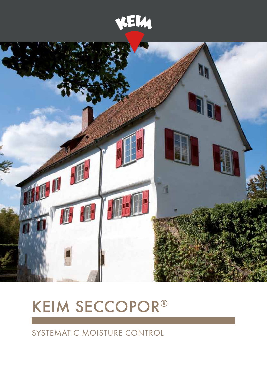



# **KEIM SECCOPOR®**

Systematic moisture control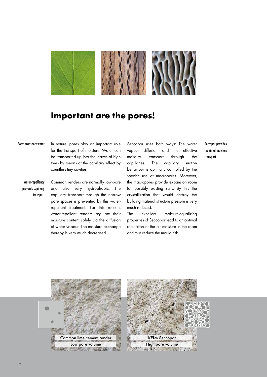

## Important are the pores!

#### Pores transport water

In nature, pores play an important role for the transport of moisture. Water can be transported up into the leaves of high trees by means of the capillary effect by countless tiny cavities.

Water-repellency prevents capillary transport Common renders are normally low-pore and also very hydrophobic. The capillary transport through the narrow pore spaces is prevented by this waterrepellent treatment. For this reason, water-repellent renders regulate their moisture content solely via the diffusion of water vapour. The moisture exchange thereby is very much decreased.

Seccopor uses both ways: The water vapour diffusion and the effective moisture transport through the capillaries. The capillary suction behaviour is optimally controlled by the specific use of macropores. Moreover, the macropores provide expansion room for possibly existing salts. By this the crystallization that would destroy the building material structure pressure is very much reduced.

The excellent moisture-equalizing properties of Seccopor lead to an optimal regulation of the air moisture in the room and thus reduce the mould risk.

Seccopor provides maximal moisture transport



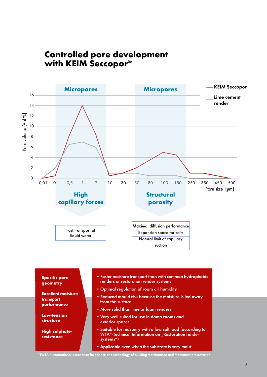## Controlled pore development with KEIM Seccopor®



Excellent moisture • Faster moisture transport than with common hydrophobic renders or restoration render systems • Optimal regulation of room air humidity • Reduced mould risk because the moisture is led away from the surface

Specific pore geometry

transport performance

Low-tension structure

High sulphateresistance

- • More solid than lime or loam renders
- • Very well suited for use in damp rooms and exterior spaces
- • Suitable for masonry with a low salt load (according to WTA\*-Technical Information on "Restoration render systems")
- Applicable even when the substrate is very moist

\*(WTA = International association for science and technology of building maintenance and monument preservation)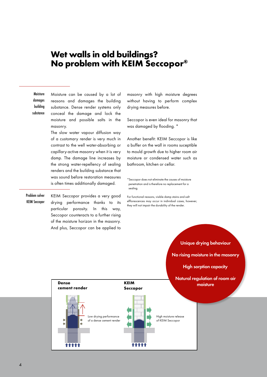#### Wet walls in old buildings? No problem with KEIM Seccopor®

Moisture can be caused by a lot of reasons and damages the building substance. Dense render systems only conceal the damage and lock the moisture and possible salts in the masonry. The slow water vapour diffusion way **Moisture** damages building substance

of a customary render is very much in contrast to the well water-absorbing or capillary-active masonry when it is very damp. The damage line increases by the strong water-repellency of sealing renders and the building substance that was sound before restoration measures is often times additionally damaged.

KEIM Seccopor provides a very good drying performance thanks to its particular porosity. In this way, Seccopor counteracts to a further rising of the moisture horizon in the masonry. And plus, Seccopor can be applied to Problem solver KEIM Seccopor

masonry with high moisture degrees without having to perform complex drying measures before.

Seccopor is even ideal for masonry that was damaged by flooding. \*

Another benefit: KEIM Seccopor is like a buffer on the wall in rooms suceptible to mould growth due to higher room air moisture or condensed water such as bathroom, kitchen or cellar.

\*Seccopor does not eliminate the causes of moisture penetration and is therefore no replacement for a sealing.

For functional reasons, visible damp stains and salt efflorescences may occur in individual cases, however, they will not impair the durability of the render.



Unique drying behaviour

No rising moisture in the masonry

High sorption capacity

Natural regulation of room air moisture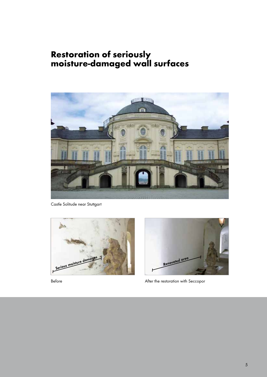## Restoration of seriously moisture-damaged wall surfaces



Castle Solitude near Stuttgart





Before **After the restoration with Seccopor**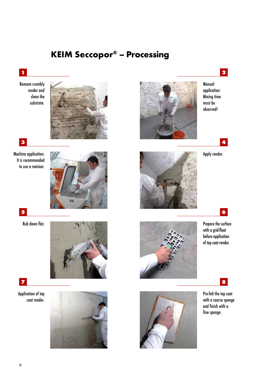## KEIM Seccopor® – Processing

#### 1

Remove crumbly render and clean the substrate.



#### 3

Machine application: It is recommended to use a remixer.



5

Rub down flat.





Application of top coat render.





Manual application: Mixing time must be observed!

2



Apply render.

4



Prepare the surface with a grid-float before application of top coat render.

6



Pre-felt the top coat

8

with a coarse sponge and finish with a fine sponge.

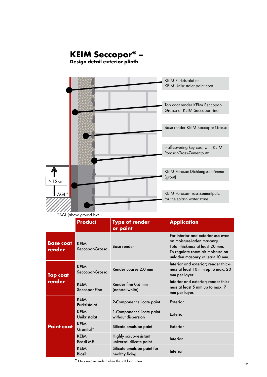# KEIM Seccopor® –

Design detail exterior plinth



\*AGL (above ground level)

|                            | <b>Product</b>                 | <b>Type of render</b><br>or paint                  | <b>Application</b>                                                                                                                                                         |
|----------------------------|--------------------------------|----------------------------------------------------|----------------------------------------------------------------------------------------------------------------------------------------------------------------------------|
| <b>Base coat</b><br>render | <b>KEIM</b><br>Seccopor-Grosso | <b>Base render</b>                                 | For interior and exterior use even<br>on moisture-laden masonry.<br>Total thickness at least 20 mm.<br>To regulate room air moisture on<br>unladen masonry at least 10 mm. |
| <b>Top coat</b><br>render  | <b>KEIM</b><br>Seccopor-Grosso | Render coarse 2.0 mm                               | Interior and exterior; render thick-<br>ness at least 10 mm up to max. 20<br>mm per layer.                                                                                 |
|                            | <b>KEIM</b><br>Seccopor-Fino   | Render fine 0.6 mm<br>(natural-white)              | Interior and exterior; render thick-<br>ness at least 5 mm up to max. 7<br>mm per layer.                                                                                   |
| <b>Paint coat</b>          | <b>KEIM</b><br>Purkristalat    | 2-Component silicate paint                         | Exterior                                                                                                                                                                   |
|                            | <b>KEIM</b><br>Unikristalat    | 1-Component silicate paint<br>without dispersion   | Exterior                                                                                                                                                                   |
|                            | <b>KEIM</b><br>Granital*       | Silicate emulsion paint                            | Exterior                                                                                                                                                                   |
|                            | <b>KEIM</b><br>Ecosil-ME       | Highly scrub-resistant<br>universal silicate paint | Interior                                                                                                                                                                   |
|                            | <b>KEIM</b><br><b>Biosil</b>   | Silicate emulsion paint for<br>healthy living      | Interior                                                                                                                                                                   |

\* Only recommended when the salt load is low.